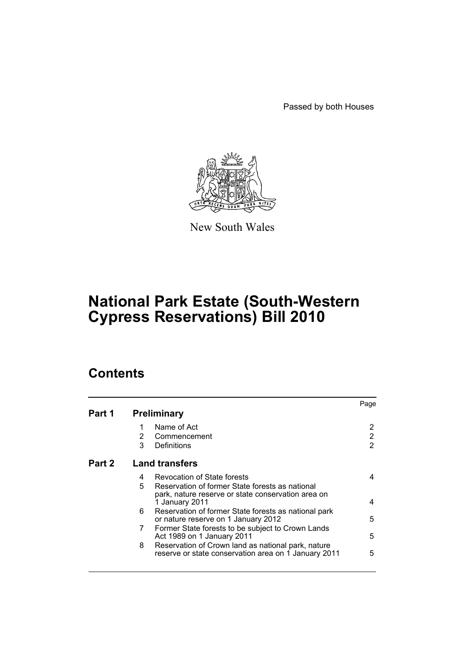Passed by both Houses



New South Wales

# **National Park Estate (South-Western Cypress Reservations) Bill 2010**

# **Contents**

|        |                       |                                                                                                            | Page |  |
|--------|-----------------------|------------------------------------------------------------------------------------------------------------|------|--|
| Part 1 | <b>Preliminary</b>    |                                                                                                            |      |  |
|        |                       | Name of Act                                                                                                | 2    |  |
|        | 2                     | Commencement                                                                                               | 2    |  |
|        | 3                     | Definitions                                                                                                | 2    |  |
| Part 2 | <b>Land transfers</b> |                                                                                                            |      |  |
|        | 4                     | Revocation of State forests                                                                                | 4    |  |
|        | 5                     | Reservation of former State forests as national                                                            |      |  |
|        |                       | park, nature reserve or state conservation area on<br>1 January 2011                                       | 4    |  |
|        | 6                     | Reservation of former State forests as national park                                                       |      |  |
|        |                       | or nature reserve on 1 January 2012                                                                        | 5    |  |
|        | 7                     | Former State forests to be subject to Crown Lands<br>Act 1989 on 1 January 2011                            | 5    |  |
|        | 8                     | Reservation of Crown land as national park, nature<br>reserve or state conservation area on 1 January 2011 | 5    |  |
|        |                       |                                                                                                            |      |  |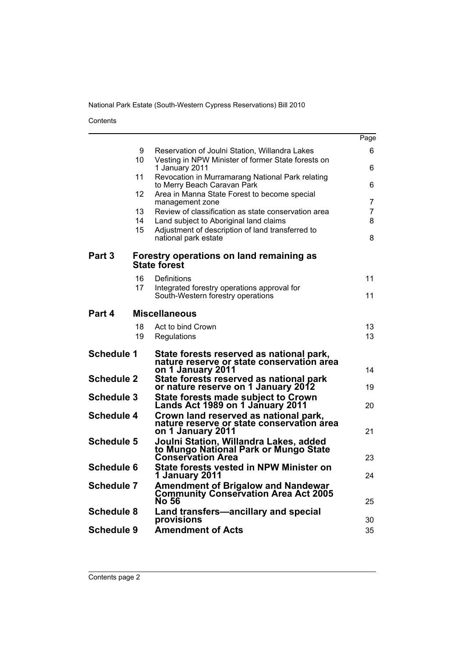Contents

|                   |          |                                                                                                            | Page     |
|-------------------|----------|------------------------------------------------------------------------------------------------------------|----------|
|                   | 9<br>10  | Reservation of Joulni Station, Willandra Lakes<br>Vesting in NPW Minister of former State forests on       | 6.       |
|                   | 11       | 1 January 2011<br>Revocation in Murramarang National Park relating                                         | 6        |
|                   |          | to Merry Beach Caravan Park                                                                                | 6        |
|                   | 12       | Area in Manna State Forest to become special<br>management zone                                            | 7        |
|                   | 13       | Review of classification as state conservation area                                                        | 7        |
|                   | 14       | Land subject to Aboriginal land claims                                                                     | 8        |
|                   | 15       | Adjustment of description of land transferred to<br>national park estate                                   | 8        |
| Part <sub>3</sub> |          | Forestry operations on land remaining as<br><b>State forest</b>                                            |          |
|                   | 16       | Definitions                                                                                                | 11       |
|                   | 17       | Integrated forestry operations approval for<br>South-Western forestry operations                           | 11       |
|                   |          |                                                                                                            |          |
| Part 4            |          | <b>Miscellaneous</b>                                                                                       |          |
|                   | 18<br>19 | Act to bind Crown<br>Regulations                                                                           | 13<br>13 |
|                   |          |                                                                                                            |          |
| <b>Schedule 1</b> |          | State forests reserved as national park,<br>nature reserve or state conservation area<br>on 1 January 2011 | 14       |
| <b>Schedule 2</b> |          | State forests reserved as national park                                                                    |          |
| <b>Schedule 3</b> |          | or nature reserve on 1 January 2012                                                                        | 19       |
|                   |          | State forests made subject to Crown<br>Lands Act 1989 on 1 January 2011                                    | 20       |
| <b>Schedule 4</b> |          | Crown land reserved as national park,<br>nature reserve or state conservation área                         |          |
|                   |          | on 1 January 2011                                                                                          | 21       |
| <b>Schedule 5</b> |          | Joulni Station, Willandra Lakes, added<br>to Mungo National Park or Mungo State                            |          |
| <b>Schedule 6</b> |          | <b>Conservation Area</b><br>State forests vested in NPW Minister on                                        | 23       |
|                   |          | 1 January 2011                                                                                             | 24       |
| <b>Schedule 7</b> |          | Amendment of Brigalow and Nandewar<br><b>Community Conservation Area Act 2005</b><br><b>No 56</b>          | 25       |
| <b>Schedule 8</b> |          | Land transfers-ancillary and special<br>provisions                                                         | 30       |
| Schedule 9        |          | <b>Amendment of Acts</b>                                                                                   | 35       |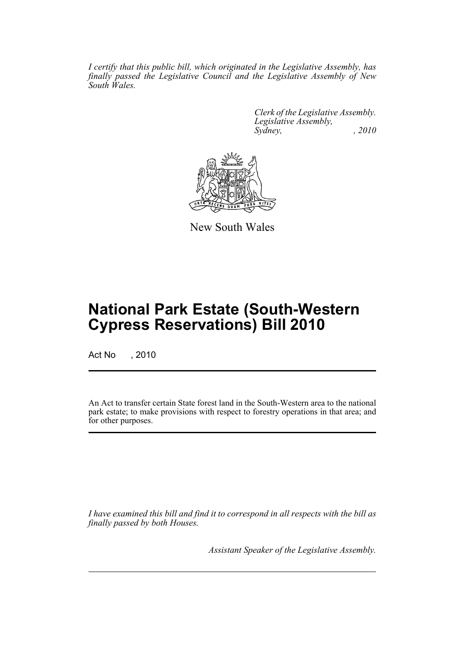*I certify that this public bill, which originated in the Legislative Assembly, has finally passed the Legislative Council and the Legislative Assembly of New South Wales.*

> *Clerk of the Legislative Assembly. Legislative Assembly, Sydney, , 2010*



New South Wales

# **National Park Estate (South-Western Cypress Reservations) Bill 2010**

Act No , 2010

An Act to transfer certain State forest land in the South-Western area to the national park estate; to make provisions with respect to forestry operations in that area; and for other purposes.

*I have examined this bill and find it to correspond in all respects with the bill as finally passed by both Houses.*

*Assistant Speaker of the Legislative Assembly.*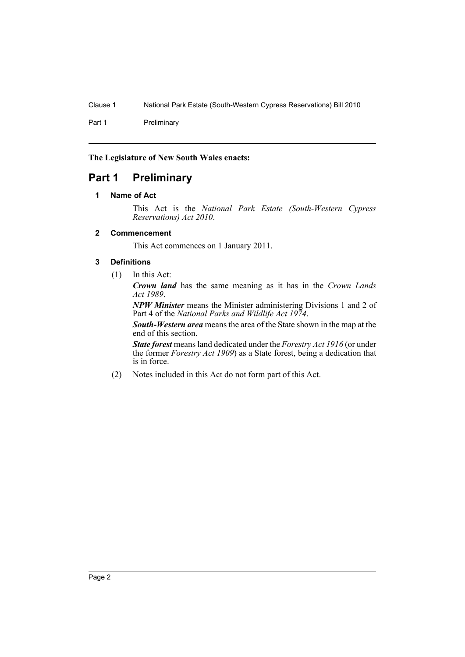Part 1 Preliminary

**The Legislature of New South Wales enacts:**

# <span id="page-3-1"></span><span id="page-3-0"></span>**Part 1 Preliminary**

### **1 Name of Act**

This Act is the *National Park Estate (South-Western Cypress Reservations) Act 2010*.

### <span id="page-3-2"></span>**2 Commencement**

This Act commences on 1 January 2011.

### <span id="page-3-3"></span>**3 Definitions**

(1) In this Act:

*Crown land* has the same meaning as it has in the *Crown Lands Act 1989*.

*NPW Minister* means the Minister administering Divisions 1 and 2 of Part 4 of the *National Parks and Wildlife Act 1974*.

*South-Western area* means the area of the State shown in the map at the end of this section.

*State forest* means land dedicated under the *Forestry Act 1916* (or under the former *Forestry Act 1909*) as a State forest, being a dedication that is in force.

(2) Notes included in this Act do not form part of this Act.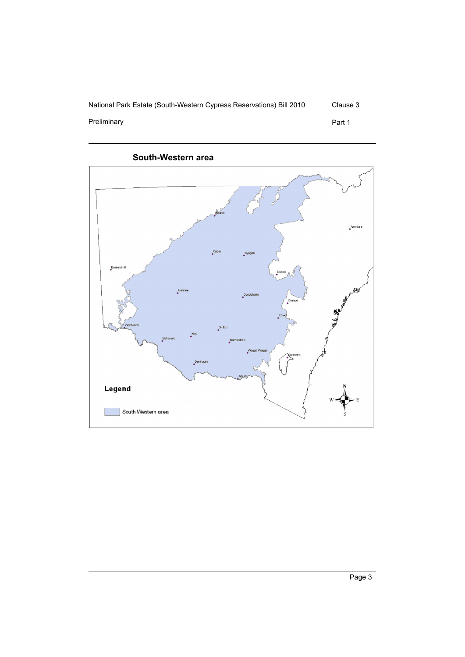

Preliminary **Preliminary** Part 1

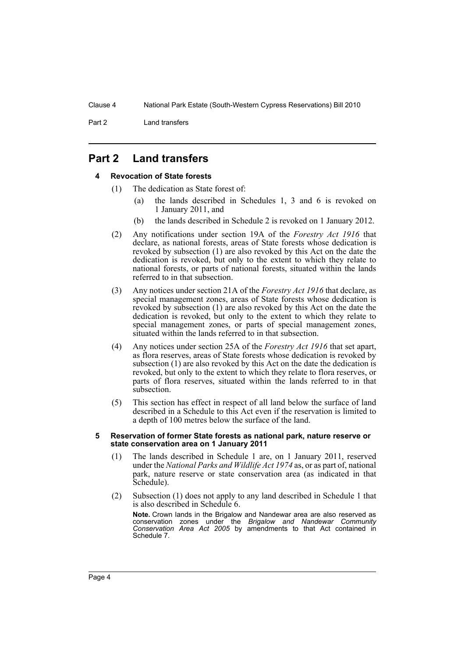Part 2 Land transfers

# <span id="page-5-1"></span><span id="page-5-0"></span>**Part 2 Land transfers**

### **4 Revocation of State forests**

- (1) The dedication as State forest of:
	- (a) the lands described in Schedules 1, 3 and 6 is revoked on 1 January 2011, and
	- (b) the lands described in Schedule 2 is revoked on 1 January 2012.
- (2) Any notifications under section 19A of the *Forestry Act 1916* that declare, as national forests, areas of State forests whose dedication is revoked by subsection (1) are also revoked by this Act on the date the dedication is revoked, but only to the extent to which they relate to national forests, or parts of national forests, situated within the lands referred to in that subsection.
- (3) Any notices under section 21A of the *Forestry Act 1916* that declare, as special management zones, areas of State forests whose dedication is revoked by subsection (1) are also revoked by this Act on the date the dedication is revoked, but only to the extent to which they relate to special management zones, or parts of special management zones, situated within the lands referred to in that subsection.
- (4) Any notices under section 25A of the *Forestry Act 1916* that set apart, as flora reserves, areas of State forests whose dedication is revoked by subsection (1) are also revoked by this Act on the date the dedication is revoked, but only to the extent to which they relate to flora reserves, or parts of flora reserves, situated within the lands referred to in that subsection.
- (5) This section has effect in respect of all land below the surface of land described in a Schedule to this Act even if the reservation is limited to a depth of 100 metres below the surface of the land.

#### <span id="page-5-2"></span>**5 Reservation of former State forests as national park, nature reserve or state conservation area on 1 January 2011**

- (1) The lands described in Schedule 1 are, on 1 January 2011, reserved under the *National Parks and Wildlife Act 1974* as, or as part of, national park, nature reserve or state conservation area (as indicated in that Schedule).
- (2) Subsection (1) does not apply to any land described in Schedule 1 that is also described in Schedule 6.

**Note.** Crown lands in the Brigalow and Nandewar area are also reserved as conservation zones under the *Brigalow and Nandewar Community Conservation Area Act 2005* by amendments to that Act contained in Schedule 7.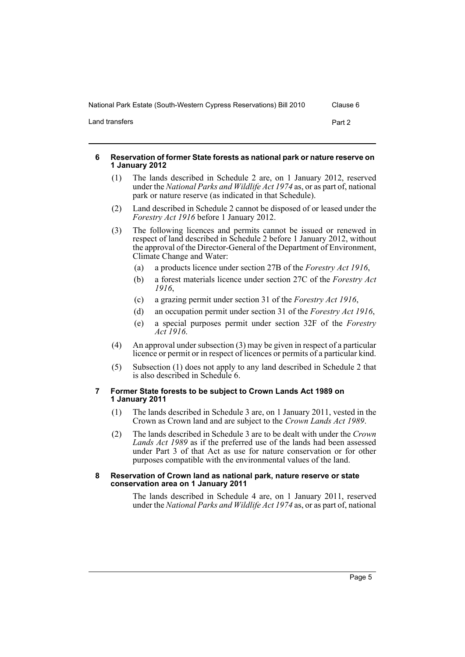Land transfers Part 2

### <span id="page-6-0"></span>**6 Reservation of former State forests as national park or nature reserve on 1 January 2012**

- (1) The lands described in Schedule 2 are, on 1 January 2012, reserved under the *National Parks and Wildlife Act 1974* as, or as part of, national park or nature reserve (as indicated in that Schedule).
- (2) Land described in Schedule 2 cannot be disposed of or leased under the *Forestry Act 1916* before 1 January 2012.
- (3) The following licences and permits cannot be issued or renewed in respect of land described in Schedule 2 before 1 January 2012, without the approval of the Director-General of the Department of Environment, Climate Change and Water:
	- (a) a products licence under section 27B of the *Forestry Act 1916*,
	- (b) a forest materials licence under section 27C of the *Forestry Act 1916*,
	- (c) a grazing permit under section 31 of the *Forestry Act 1916*,
	- (d) an occupation permit under section 31 of the *Forestry Act 1916*,
	- (e) a special purposes permit under section 32F of the *Forestry Act 1916*.
- (4) An approval under subsection (3) may be given in respect of a particular licence or permit or in respect of licences or permits of a particular kind.
- (5) Subsection (1) does not apply to any land described in Schedule 2 that is also described in Schedule 6.

### <span id="page-6-1"></span>**7 Former State forests to be subject to Crown Lands Act 1989 on 1 January 2011**

- (1) The lands described in Schedule 3 are, on 1 January 2011, vested in the Crown as Crown land and are subject to the *Crown Lands Act 1989*.
- (2) The lands described in Schedule 3 are to be dealt with under the *Crown Lands Act 1989* as if the preferred use of the lands had been assessed under Part 3 of that Act as use for nature conservation or for other purposes compatible with the environmental values of the land.

#### <span id="page-6-2"></span>**8 Reservation of Crown land as national park, nature reserve or state conservation area on 1 January 2011**

The lands described in Schedule 4 are, on 1 January 2011, reserved under the *National Parks and Wildlife Act 1974* as, or as part of, national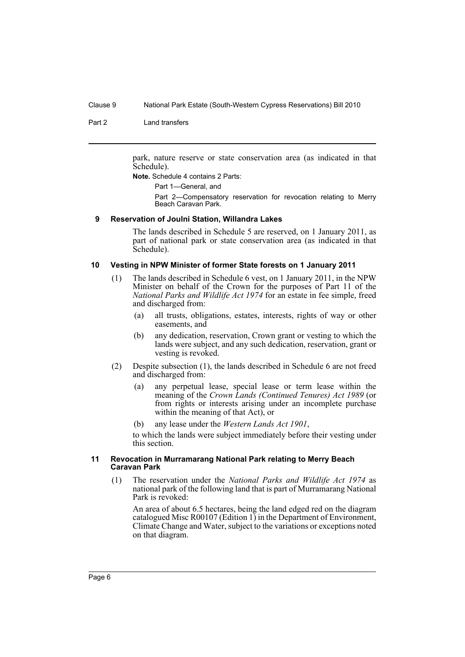Part 2 Land transfers

park, nature reserve or state conservation area (as indicated in that Schedule).

**Note.** Schedule 4 contains 2 Parts:

Part 1—General, and

Part 2—Compensatory reservation for revocation relating to Merry Beach Caravan Park.

#### <span id="page-7-0"></span>**9 Reservation of Joulni Station, Willandra Lakes**

The lands described in Schedule 5 are reserved, on 1 January 2011, as part of national park or state conservation area (as indicated in that Schedule).

#### <span id="page-7-1"></span>**10 Vesting in NPW Minister of former State forests on 1 January 2011**

- (1) The lands described in Schedule 6 vest, on 1 January 2011, in the NPW Minister on behalf of the Crown for the purposes of Part 11 of the *National Parks and Wildlife Act 1974* for an estate in fee simple, freed and discharged from:
	- (a) all trusts, obligations, estates, interests, rights of way or other easements, and
	- (b) any dedication, reservation, Crown grant or vesting to which the lands were subject, and any such dedication, reservation, grant or vesting is revoked.
- (2) Despite subsection (1), the lands described in Schedule 6 are not freed and discharged from:
	- (a) any perpetual lease, special lease or term lease within the meaning of the *Crown Lands (Continued Tenures) Act 1989* (or from rights or interests arising under an incomplete purchase within the meaning of that Act), or
	- (b) any lease under the *Western Lands Act 1901*,

to which the lands were subject immediately before their vesting under this section.

#### <span id="page-7-2"></span>**11 Revocation in Murramarang National Park relating to Merry Beach Caravan Park**

(1) The reservation under the *National Parks and Wildlife Act 1974* as national park of the following land that is part of Murramarang National Park is revoked:

An area of about 6.5 hectares, being the land edged red on the diagram catalogued Misc R00107 (Edition 1) in the Department of Environment, Climate Change and Water, subject to the variations or exceptions noted on that diagram.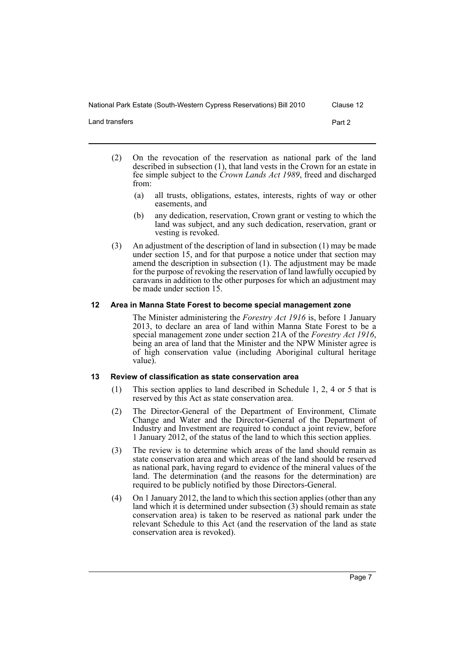Land transfers Part 2

- (2) On the revocation of the reservation as national park of the land described in subsection (1), that land vests in the Crown for an estate in fee simple subject to the *Crown Lands Act 1989*, freed and discharged from:
	- (a) all trusts, obligations, estates, interests, rights of way or other easements, and
	- (b) any dedication, reservation, Crown grant or vesting to which the land was subject, and any such dedication, reservation, grant or vesting is revoked.
- (3) An adjustment of the description of land in subsection (1) may be made under section 15, and for that purpose a notice under that section may amend the description in subsection (1). The adjustment may be made for the purpose of revoking the reservation of land lawfully occupied by caravans in addition to the other purposes for which an adjustment may be made under section 15.

### <span id="page-8-0"></span>**12 Area in Manna State Forest to become special management zone**

The Minister administering the *Forestry Act 1916* is, before 1 January 2013, to declare an area of land within Manna State Forest to be a special management zone under section 21A of the *Forestry Act 1916*, being an area of land that the Minister and the NPW Minister agree is of high conservation value (including Aboriginal cultural heritage value).

### <span id="page-8-1"></span>**13 Review of classification as state conservation area**

- (1) This section applies to land described in Schedule 1, 2, 4 or 5 that is reserved by this Act as state conservation area.
- (2) The Director-General of the Department of Environment, Climate Change and Water and the Director-General of the Department of Industry and Investment are required to conduct a joint review, before 1 January 2012, of the status of the land to which this section applies.
- (3) The review is to determine which areas of the land should remain as state conservation area and which areas of the land should be reserved as national park, having regard to evidence of the mineral values of the land. The determination (and the reasons for the determination) are required to be publicly notified by those Directors-General.
- (4) On 1 January 2012, the land to which this section applies (other than any land which it is determined under subsection (3) should remain as state conservation area) is taken to be reserved as national park under the relevant Schedule to this Act (and the reservation of the land as state conservation area is revoked).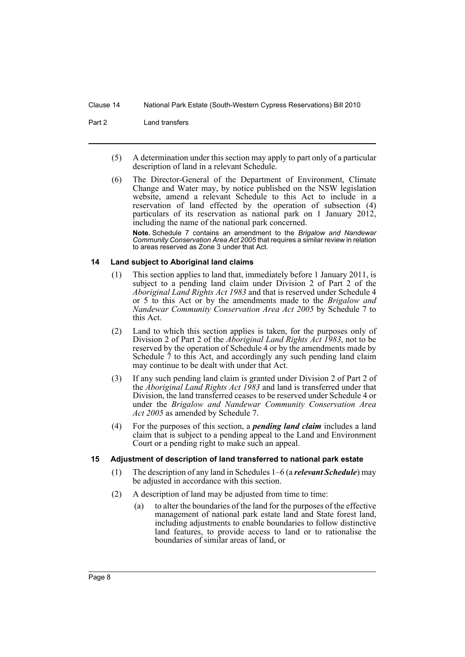Part 2 Land transfers

- (5) A determination under this section may apply to part only of a particular description of land in a relevant Schedule.
- (6) The Director-General of the Department of Environment, Climate Change and Water may, by notice published on the NSW legislation website, amend a relevant Schedule to this Act to include in a reservation of land effected by the operation of subsection (4) particulars of its reservation as national park on 1 January 2012, including the name of the national park concerned.

**Note.** Schedule 7 contains an amendment to the *Brigalow and Nandewar Community Conservation Area Act 2005* that requires a similar review in relation to areas reserved as Zone 3 under that Act.

### <span id="page-9-0"></span>**14 Land subject to Aboriginal land claims**

- (1) This section applies to land that, immediately before 1 January 2011, is subject to a pending land claim under Division 2 of Part 2 of the *Aboriginal Land Rights Act 1983* and that is reserved under Schedule 4 or 5 to this Act or by the amendments made to the *Brigalow and Nandewar Community Conservation Area Act 2005* by Schedule 7 to this Act.
- (2) Land to which this section applies is taken, for the purposes only of Division 2 of Part 2 of the *Aboriginal Land Rights Act 1983*, not to be reserved by the operation of Schedule 4 or by the amendments made by Schedule 7 to this Act, and accordingly any such pending land claim may continue to be dealt with under that Act.
- (3) If any such pending land claim is granted under Division 2 of Part 2 of the *Aboriginal Land Rights Act 1983* and land is transferred under that Division, the land transferred ceases to be reserved under Schedule 4 or under the *Brigalow and Nandewar Community Conservation Area Act 2005* as amended by Schedule 7.
- (4) For the purposes of this section, a *pending land claim* includes a land claim that is subject to a pending appeal to the Land and Environment Court or a pending right to make such an appeal.

### <span id="page-9-1"></span>**15 Adjustment of description of land transferred to national park estate**

- (1) The description of any land in Schedules 1–6 (a *relevant Schedule*) may be adjusted in accordance with this section.
- (2) A description of land may be adjusted from time to time:
	- (a) to alter the boundaries of the land for the purposes of the effective management of national park estate land and State forest land, including adjustments to enable boundaries to follow distinctive land features, to provide access to land or to rationalise the boundaries of similar areas of land, or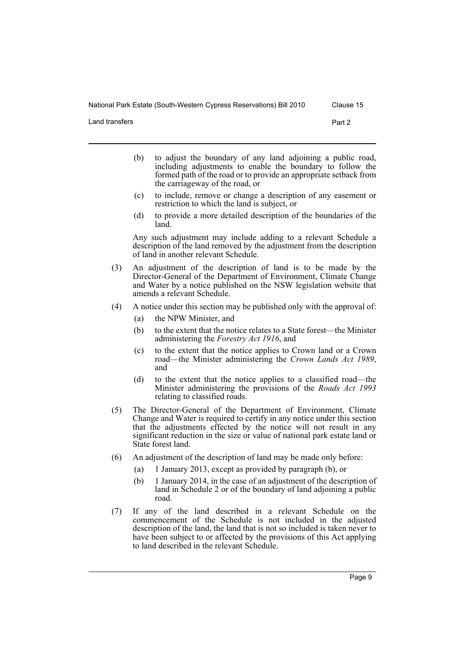Land transfers Part 2

- (b) to adjust the boundary of any land adjoining a public road, including adjustments to enable the boundary to follow the formed path of the road or to provide an appropriate setback from the carriageway of the road, or
- (c) to include, remove or change a description of any easement or restriction to which the land is subject, or
- (d) to provide a more detailed description of the boundaries of the land.

Any such adjustment may include adding to a relevant Schedule a description of the land removed by the adjustment from the description of land in another relevant Schedule.

- (3) An adjustment of the description of land is to be made by the Director-General of the Department of Environment, Climate Change and Water by a notice published on the NSW legislation website that amends a relevant Schedule.
- (4) A notice under this section may be published only with the approval of:
	- (a) the NPW Minister, and
	- (b) to the extent that the notice relates to a State forest—the Minister administering the *Forestry Act 1916*, and
	- (c) to the extent that the notice applies to Crown land or a Crown road—the Minister administering the *Crown Lands Act 1989*, and
	- (d) to the extent that the notice applies to a classified road—the Minister administering the provisions of the *Roads Act 1993* relating to classified roads.
- (5) The Director-General of the Department of Environment, Climate Change and Water is required to certify in any notice under this section that the adjustments effected by the notice will not result in any significant reduction in the size or value of national park estate land or State forest land.
- (6) An adjustment of the description of land may be made only before:
	- (a) 1 January 2013, except as provided by paragraph (b), or
	- (b) 1 January 2014, in the case of an adjustment of the description of land in Schedule 2 or of the boundary of land adjoining a public road.
- (7) If any of the land described in a relevant Schedule on the commencement of the Schedule is not included in the adjusted description of the land, the land that is not so included is taken never to have been subject to or affected by the provisions of this Act applying to land described in the relevant Schedule.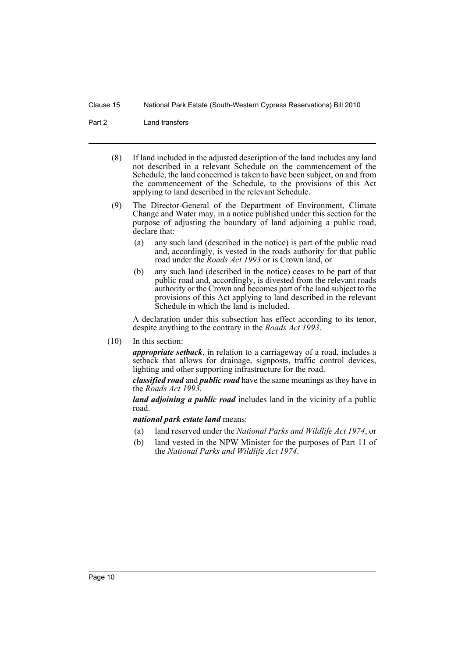Part 2 Land transfers

- (8) If land included in the adjusted description of the land includes any land not described in a relevant Schedule on the commencement of the Schedule, the land concerned is taken to have been subject, on and from the commencement of the Schedule, to the provisions of this Act applying to land described in the relevant Schedule.
- (9) The Director-General of the Department of Environment, Climate Change and Water may, in a notice published under this section for the purpose of adjusting the boundary of land adjoining a public road, declare that:
	- (a) any such land (described in the notice) is part of the public road and, accordingly, is vested in the roads authority for that public road under the *Roads Act 1993* or is Crown land, or
	- (b) any such land (described in the notice) ceases to be part of that public road and, accordingly, is divested from the relevant roads authority or the Crown and becomes part of the land subject to the provisions of this Act applying to land described in the relevant Schedule in which the land is included.

A declaration under this subsection has effect according to its tenor, despite anything to the contrary in the *Roads Act 1993*.

(10) In this section:

*appropriate setback*, in relation to a carriageway of a road, includes a setback that allows for drainage, signposts, traffic control devices, lighting and other supporting infrastructure for the road.

*classified road* and *public road* have the same meanings as they have in the *Roads Act 1993*.

*land adjoining a public road* includes land in the vicinity of a public road.

*national park estate land* means:

- (a) land reserved under the *National Parks and Wildlife Act 1974*, or
- (b) land vested in the NPW Minister for the purposes of Part 11 of the *National Parks and Wildlife Act 1974*.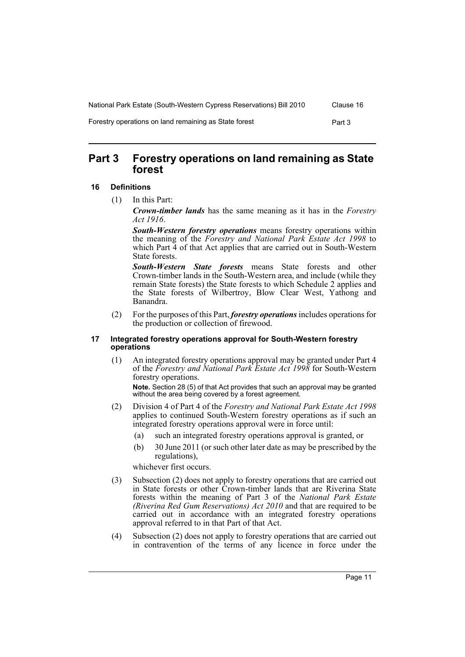| National Park Estate (South-Western Cypress Reservations) Bill 2010 | Clause 16 |
|---------------------------------------------------------------------|-----------|
| Forestry operations on land remaining as State forest               | Part 3    |

# <span id="page-12-0"></span>**Part 3 Forestry operations on land remaining as State forest**

### <span id="page-12-1"></span>**16 Definitions**

(1) In this Part:

*Crown-timber lands* has the same meaning as it has in the *Forestry Act 1916*.

*South-Western forestry operations* means forestry operations within the meaning of the *Forestry and National Park Estate Act 1998* to which Part  $\overline{4}$  of that Act applies that are carried out in South-Western State forests.

*South-Western State forests* means State forests and other Crown-timber lands in the South-Western area, and include (while they remain State forests) the State forests to which Schedule 2 applies and the State forests of Wilbertroy, Blow Clear West, Yathong and Banandra.

(2) For the purposes of this Part, *forestry operations* includes operations for the production or collection of firewood.

### <span id="page-12-2"></span>**17 Integrated forestry operations approval for South-Western forestry operations**

(1) An integrated forestry operations approval may be granted under Part 4 of the *Forestry and National Park Estate Act 1998* for South-Western forestry operations.

**Note.** Section 28 (5) of that Act provides that such an approval may be granted without the area being covered by a forest agreement.

- (2) Division 4 of Part 4 of the *Forestry and National Park Estate Act 1998* applies to continued South-Western forestry operations as if such an integrated forestry operations approval were in force until:
	- (a) such an integrated forestry operations approval is granted, or
	- (b) 30 June 2011 (or such other later date as may be prescribed by the regulations),

whichever first occurs.

- (3) Subsection (2) does not apply to forestry operations that are carried out in State forests or other Crown-timber lands that are Riverina State forests within the meaning of Part 3 of the *National Park Estate (Riverina Red Gum Reservations) Act 2010* and that are required to be carried out in accordance with an integrated forestry operations approval referred to in that Part of that Act.
- (4) Subsection (2) does not apply to forestry operations that are carried out in contravention of the terms of any licence in force under the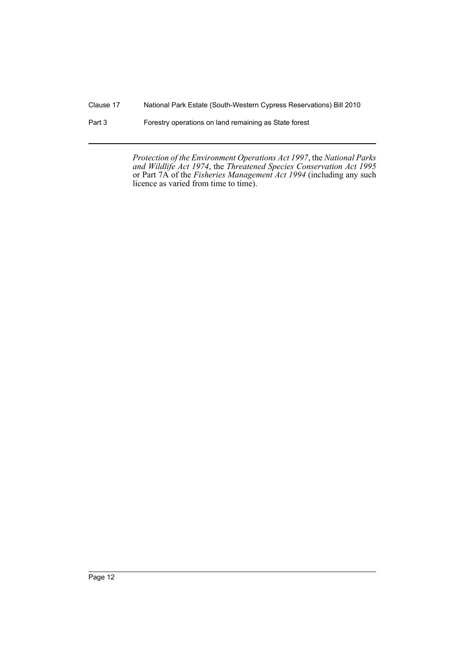Part 3 Forestry operations on land remaining as State forest

*Protection of the Environment Operations Act 1997*, the *National Parks and Wildlife Act 1974*, the *Threatened Species Conservation Act 1995* or Part 7A of the *Fisheries Management Act 1994* (including any such licence as varied from time to time).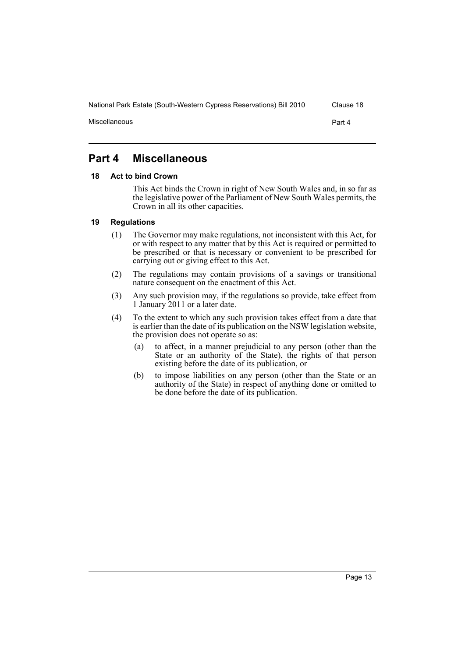# <span id="page-14-0"></span>**Part 4 Miscellaneous**

### <span id="page-14-1"></span>**18 Act to bind Crown**

This Act binds the Crown in right of New South Wales and, in so far as the legislative power of the Parliament of New South Wales permits, the Crown in all its other capacities.

### <span id="page-14-2"></span>**19 Regulations**

- (1) The Governor may make regulations, not inconsistent with this Act, for or with respect to any matter that by this Act is required or permitted to be prescribed or that is necessary or convenient to be prescribed for carrying out or giving effect to this Act.
- (2) The regulations may contain provisions of a savings or transitional nature consequent on the enactment of this Act.
- (3) Any such provision may, if the regulations so provide, take effect from 1 January 2011 or a later date.
- (4) To the extent to which any such provision takes effect from a date that is earlier than the date of its publication on the NSW legislation website, the provision does not operate so as:
	- (a) to affect, in a manner prejudicial to any person (other than the State or an authority of the State), the rights of that person existing before the date of its publication, or
	- (b) to impose liabilities on any person (other than the State or an authority of the State) in respect of anything done or omitted to be done before the date of its publication.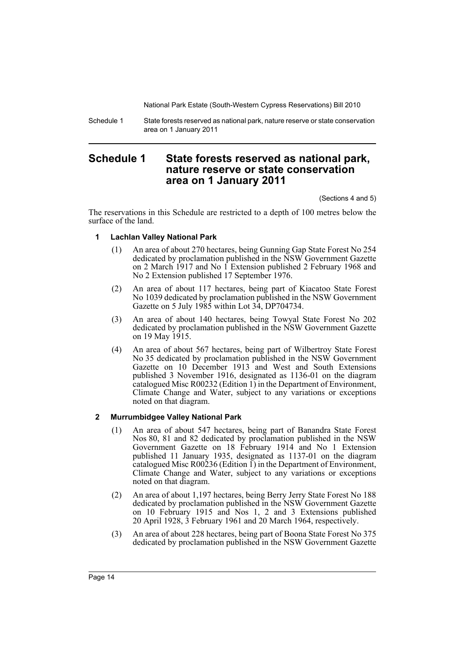Schedule 1 State forests reserved as national park, nature reserve or state conservation area on 1 January 2011

# <span id="page-15-0"></span>**Schedule 1 State forests reserved as national park, nature reserve or state conservation area on 1 January 2011**

(Sections 4 and 5)

The reservations in this Schedule are restricted to a depth of 100 metres below the surface of the land.

### **1 Lachlan Valley National Park**

- (1) An area of about 270 hectares, being Gunning Gap State Forest No 254 dedicated by proclamation published in the NSW Government Gazette on 2 March 1917 and No 1 Extension published 2 February 1968 and No 2 Extension published 17 September 1976.
- (2) An area of about 117 hectares, being part of Kiacatoo State Forest No 1039 dedicated by proclamation published in the NSW Government Gazette on 5 July 1985 within Lot 34, DP704734.
- (3) An area of about 140 hectares, being Towyal State Forest No 202 dedicated by proclamation published in the NSW Government Gazette on 19 May 1915.
- (4) An area of about 567 hectares, being part of Wilbertroy State Forest No 35 dedicated by proclamation published in the NSW Government Gazette on 10 December 1913 and West and South Extensions published 3 November 1916, designated as 1136-01 on the diagram catalogued Misc R00232 (Edition 1) in the Department of Environment, Climate Change and Water, subject to any variations or exceptions noted on that diagram.

### **2 Murrumbidgee Valley National Park**

- (1) An area of about 547 hectares, being part of Banandra State Forest Nos 80, 81 and 82 dedicated by proclamation published in the NSW Government Gazette on 18 February 1914 and No 1 Extension published 11 January 1935, designated as 1137-01 on the diagram catalogued Misc R00236 (Edition 1) in the Department of Environment, Climate Change and Water, subject to any variations or exceptions noted on that diagram.
- (2) An area of about 1,197 hectares, being Berry Jerry State Forest No 188 dedicated by proclamation published in the NSW Government Gazette on 10 February 1915 and Nos 1, 2 and 3 Extensions published 20 April 1928, 3 February 1961 and 20 March 1964, respectively.
- (3) An area of about 228 hectares, being part of Boona State Forest No 375 dedicated by proclamation published in the NSW Government Gazette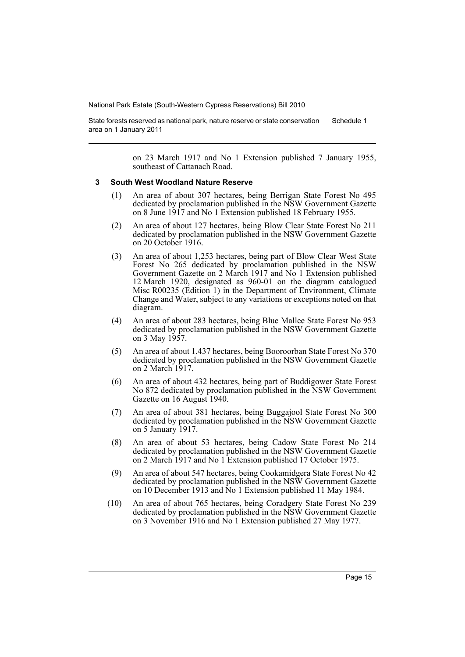State forests reserved as national park, nature reserve or state conservation area on 1 January 2011 Schedule 1

> on 23 March 1917 and No 1 Extension published 7 January 1955, southeast of Cattanach Road.

#### **3 South West Woodland Nature Reserve**

- (1) An area of about 307 hectares, being Berrigan State Forest No 495 dedicated by proclamation published in the NSW Government Gazette on 8 June 1917 and No 1 Extension published 18 February 1955.
- (2) An area of about 127 hectares, being Blow Clear State Forest No 211 dedicated by proclamation published in the NSW Government Gazette on 20 October 1916.
- (3) An area of about 1,253 hectares, being part of Blow Clear West State Forest No 265 dedicated by proclamation published in the NSW Government Gazette on 2 March 1917 and No 1 Extension published 12 March 1920, designated as 960-01 on the diagram catalogued Misc R00235 (Edition 1) in the Department of Environment, Climate Change and Water, subject to any variations or exceptions noted on that diagram.
- (4) An area of about 283 hectares, being Blue Mallee State Forest No 953 dedicated by proclamation published in the NSW Government Gazette on 3 May 1957.
- (5) An area of about 1,437 hectares, being Booroorban State Forest No 370 dedicated by proclamation published in the NSW Government Gazette on 2 March 1917.
- (6) An area of about 432 hectares, being part of Buddigower State Forest No 872 dedicated by proclamation published in the NSW Government Gazette on 16 August 1940.
- (7) An area of about 381 hectares, being Buggajool State Forest No 300 dedicated by proclamation published in the NSW Government Gazette on 5 January 1917.
- (8) An area of about 53 hectares, being Cadow State Forest No 214 dedicated by proclamation published in the NSW Government Gazette on 2 March 1917 and No 1 Extension published 17 October 1975.
- (9) An area of about 547 hectares, being Cookamidgera State Forest No 42 dedicated by proclamation published in the NSW Government Gazette on 10 December 1913 and No 1 Extension published 11 May 1984.
- (10) An area of about 765 hectares, being Coradgery State Forest No 239 dedicated by proclamation published in the NSW Government Gazette on 3 November 1916 and No 1 Extension published 27 May 1977.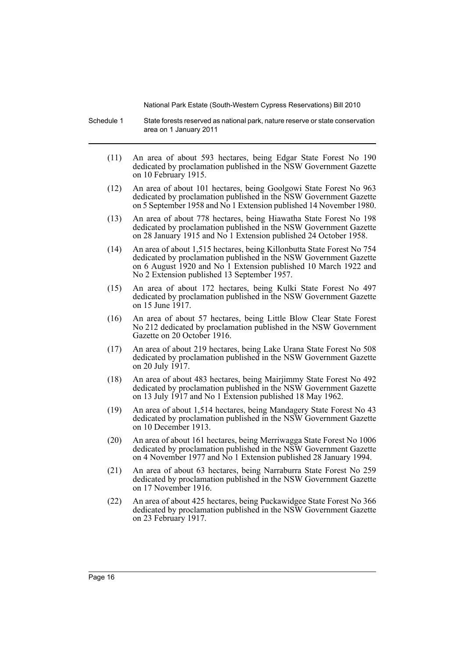Schedule 1 State forests reserved as national park, nature reserve or state conservation area on 1 January 2011

- (11) An area of about 593 hectares, being Edgar State Forest No 190 dedicated by proclamation published in the NSW Government Gazette on 10 February 1915.
- (12) An area of about 101 hectares, being Goolgowi State Forest No 963 dedicated by proclamation published in the NSW Government Gazette on 5 September 1958 and No 1 Extension published 14 November 1980.
- (13) An area of about 778 hectares, being Hiawatha State Forest No 198 dedicated by proclamation published in the NSW Government Gazette on 28 January 1915 and No 1 Extension published 24 October 1958.
- (14) An area of about 1,515 hectares, being Killonbutta State Forest No 754 dedicated by proclamation published in the NSW Government Gazette on 6 August 1920 and No 1 Extension published 10 March 1922 and No 2 Extension published 13 September 1957.
- (15) An area of about 172 hectares, being Kulki State Forest No 497 dedicated by proclamation published in the NSW Government Gazette on 15 June 1917.
- (16) An area of about 57 hectares, being Little Blow Clear State Forest No 212 dedicated by proclamation published in the NSW Government Gazette on 20 October 1916.
- (17) An area of about 219 hectares, being Lake Urana State Forest No 508 dedicated by proclamation published in the NSW Government Gazette on 20 July 1917.
- (18) An area of about 483 hectares, being Mairjimmy State Forest No 492 dedicated by proclamation published in the NSW Government Gazette on 13 July 1917 and No 1 Extension published 18 May 1962.
- (19) An area of about 1,514 hectares, being Mandagery State Forest No 43 dedicated by proclamation published in the NSW Government Gazette on 10 December 1913.
- (20) An area of about 161 hectares, being Merriwagga State Forest No 1006 dedicated by proclamation published in the NSW Government Gazette on 4 November 1977 and No 1 Extension published 28 January 1994.
- (21) An area of about 63 hectares, being Narraburra State Forest No 259 dedicated by proclamation published in the NSW Government Gazette on 17 November 1916.
- (22) An area of about 425 hectares, being Puckawidgee State Forest No 366 dedicated by proclamation published in the NSW Government Gazette on 23 February 1917.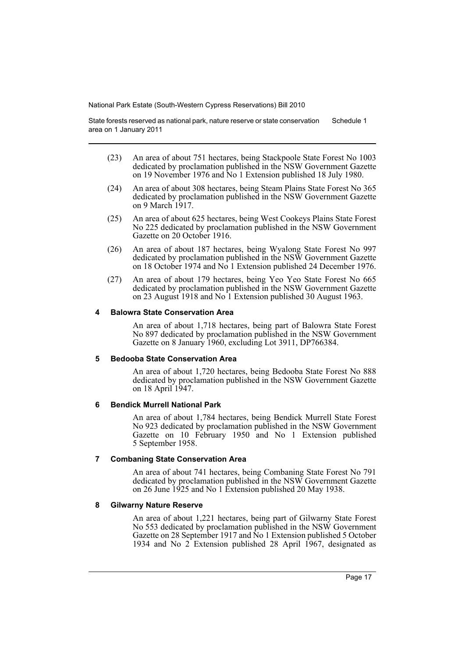State forests reserved as national park, nature reserve or state conservation area on 1 January 2011 Schedule 1

- (23) An area of about 751 hectares, being Stackpoole State Forest No 1003 dedicated by proclamation published in the NSW Government Gazette on 19 November 1976 and No 1 Extension published 18 July 1980.
- (24) An area of about 308 hectares, being Steam Plains State Forest No 365 dedicated by proclamation published in the NSW Government Gazette on 9 March 1917.
- (25) An area of about 625 hectares, being West Cookeys Plains State Forest No 225 dedicated by proclamation published in the NSW Government Gazette on 20 October 1916.
- (26) An area of about 187 hectares, being Wyalong State Forest No 997 dedicated by proclamation published in the NSW Government Gazette on 18 October 1974 and No 1 Extension published 24 December 1976.
- (27) An area of about 179 hectares, being Yeo Yeo State Forest No 665 dedicated by proclamation published in the NSW Government Gazette on 23 August 1918 and No 1 Extension published 30 August 1963.

### **4 Balowra State Conservation Area**

An area of about 1,718 hectares, being part of Balowra State Forest No 897 dedicated by proclamation published in the NSW Government Gazette on 8 January 1960, excluding Lot 3911, DP766384.

### **5 Bedooba State Conservation Area**

An area of about 1,720 hectares, being Bedooba State Forest No 888 dedicated by proclamation published in the NSW Government Gazette on 18 April 1947.

### **6 Bendick Murrell National Park**

An area of about 1,784 hectares, being Bendick Murrell State Forest No 923 dedicated by proclamation published in the NSW Government Gazette on 10 February 1950 and No 1 Extension published 5 September 1958.

### **7 Combaning State Conservation Area**

An area of about 741 hectares, being Combaning State Forest No 791 dedicated by proclamation published in the NSW Government Gazette on 26 June 1925 and No 1 Extension published 20 May 1938.

### **8 Gilwarny Nature Reserve**

An area of about 1,221 hectares, being part of Gilwarny State Forest No 553 dedicated by proclamation published in the NSW Government Gazette on 28 September 1917 and No 1 Extension published 5 October 1934 and No 2 Extension published 28 April 1967, designated as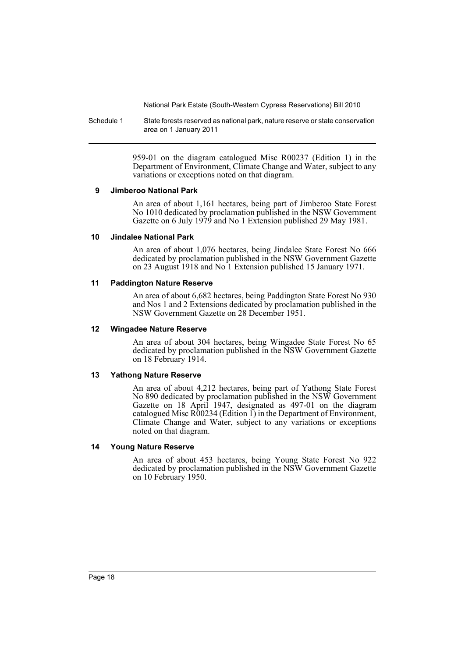Schedule 1 State forests reserved as national park, nature reserve or state conservation area on 1 January 2011

> 959-01 on the diagram catalogued Misc R00237 (Edition 1) in the Department of Environment, Climate Change and Water, subject to any variations or exceptions noted on that diagram.

### **9 Jimberoo National Park**

An area of about 1,161 hectares, being part of Jimberoo State Forest No 1010 dedicated by proclamation published in the NSW Government Gazette on 6 July 1979 and No 1 Extension published 29 May 1981.

### **10 Jindalee National Park**

An area of about 1,076 hectares, being Jindalee State Forest No 666 dedicated by proclamation published in the NSW Government Gazette on 23 August 1918 and No 1 Extension published 15 January 1971.

### **11 Paddington Nature Reserve**

An area of about 6,682 hectares, being Paddington State Forest No 930 and Nos 1 and 2 Extensions dedicated by proclamation published in the NSW Government Gazette on 28 December 1951.

### **12 Wingadee Nature Reserve**

An area of about 304 hectares, being Wingadee State Forest No 65 dedicated by proclamation published in the NSW Government Gazette on 18 February 1914.

### **13 Yathong Nature Reserve**

An area of about 4,212 hectares, being part of Yathong State Forest No 890 dedicated by proclamation published in the NSW Government Gazette on 18 April 1947, designated as 497-01 on the diagram catalogued Misc  $\angle R00234$  (Edition 1) in the Department of Environment, Climate Change and Water, subject to any variations or exceptions noted on that diagram.

### **14 Young Nature Reserve**

An area of about 453 hectares, being Young State Forest No 922 dedicated by proclamation published in the NSW Government Gazette on 10 February 1950.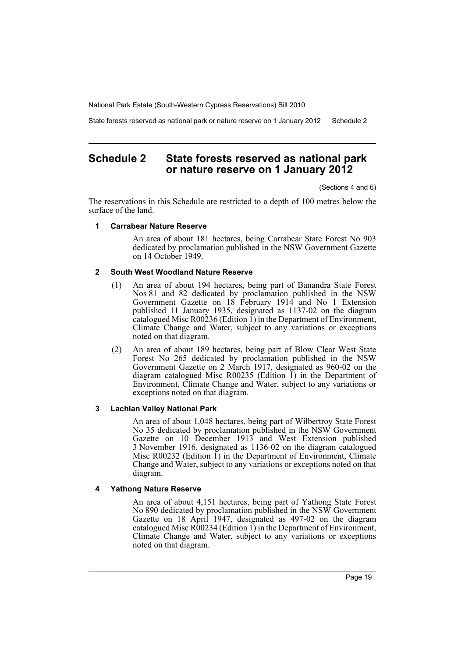State forests reserved as national park or nature reserve on 1 January 2012 Schedule 2

# <span id="page-20-0"></span>**Schedule 2 State forests reserved as national park or nature reserve on 1 January 2012**

(Sections 4 and 6)

The reservations in this Schedule are restricted to a depth of 100 metres below the surface of the land.

### **1 Carrabear Nature Reserve**

An area of about 181 hectares, being Carrabear State Forest No 903 dedicated by proclamation published in the NSW Government Gazette on 14 October 1949.

### **2 South West Woodland Nature Reserve**

- (1) An area of about 194 hectares, being part of Banandra State Forest Nos 81 and 82 dedicated by proclamation published in the NSW Government Gazette on 18 February 1914 and No 1 Extension published 11 January 1935, designated as 1137-02 on the diagram catalogued Misc R00236 (Edition  $\overline{1}$ ) in the Department of Environment, Climate Change and Water, subject to any variations or exceptions noted on that diagram.
- (2) An area of about 189 hectares, being part of Blow Clear West State Forest No 265 dedicated by proclamation published in the NSW Government Gazette on 2 March 1917, designated as 960-02 on the diagram catalogued Misc R00235 (Edition 1) in the Department of Environment, Climate Change and Water, subject to any variations or exceptions noted on that diagram.

### **3 Lachlan Valley National Park**

An area of about 1,048 hectares, being part of Wilbertroy State Forest No 35 dedicated by proclamation published in the NSW Government Gazette on 10 December 1913 and West Extension published 3 November 1916, designated as 1136-02 on the diagram catalogued Misc R00232 (Edition 1) in the Department of Environment, Climate Change and Water, subject to any variations or exceptions noted on that diagram.

### **4 Yathong Nature Reserve**

An area of about 4,151 hectares, being part of Yathong State Forest No 890 dedicated by proclamation published in the NSW Government Gazette on 18 April 1947, designated as 497-02 on the diagram catalogued Misc  $\angle R00234$  (Edition 1) in the Department of Environment, Climate Change and Water, subject to any variations or exceptions noted on that diagram.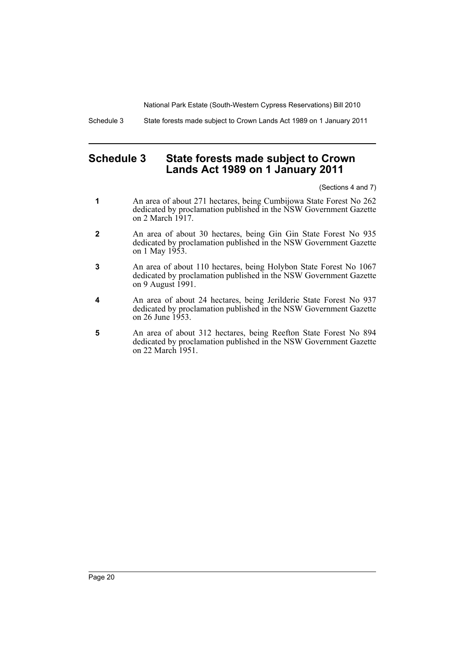Schedule 3 State forests made subject to Crown Lands Act 1989 on 1 January 2011

# <span id="page-21-0"></span>**Schedule 3 State forests made subject to Crown Lands Act 1989 on 1 January 2011**

(Sections 4 and 7)

- **1** An area of about 271 hectares, being Cumbijowa State Forest No 262 dedicated by proclamation published in the NSW Government Gazette on 2 March 1917.
- **2** An area of about 30 hectares, being Gin Gin State Forest No 935 dedicated by proclamation published in the NSW Government Gazette on 1 May 1953.
- **3** An area of about 110 hectares, being Holybon State Forest No 1067 dedicated by proclamation published in the NSW Government Gazette on 9 August 1991.
- **4** An area of about 24 hectares, being Jerilderie State Forest No 937 dedicated by proclamation published in the NSW Government Gazette on 26 June 1953.
- **5** An area of about 312 hectares, being Reefton State Forest No 894 dedicated by proclamation published in the NSW Government Gazette on 22 March 1951.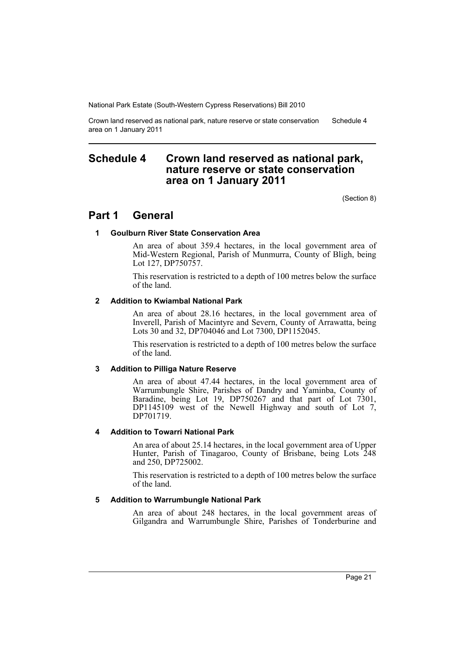Crown land reserved as national park, nature reserve or state conservation area on 1 January 2011 Schedule 4

# <span id="page-22-0"></span>**Schedule 4 Crown land reserved as national park, nature reserve or state conservation area on 1 January 2011**

(Section 8)

# **Part 1 General**

### **1 Goulburn River State Conservation Area**

An area of about 359.4 hectares, in the local government area of Mid-Western Regional, Parish of Munmurra, County of Bligh, being Lot 127, DP750757.

This reservation is restricted to a depth of 100 metres below the surface of the land.

### **2 Addition to Kwiambal National Park**

An area of about 28.16 hectares, in the local government area of Inverell, Parish of Macintyre and Severn, County of Arrawatta, being Lots 30 and 32, DP704046 and Lot 7300, DP1152045.

This reservation is restricted to a depth of 100 metres below the surface of the land.

### **3 Addition to Pilliga Nature Reserve**

An area of about 47.44 hectares, in the local government area of Warrumbungle Shire, Parishes of Dandry and Yaminba, County of Baradine, being Lot 19, DP750267 and that part of Lot 7301, DP1145109 west of the Newell Highway and south of Lot 7, DP701719.

### **4 Addition to Towarri National Park**

An area of about 25.14 hectares, in the local government area of Upper Hunter, Parish of Tinagaroo, County of Brisbane, being Lots 248 and 250, DP725002.

This reservation is restricted to a depth of 100 metres below the surface of the land.

### **5 Addition to Warrumbungle National Park**

An area of about 248 hectares, in the local government areas of Gilgandra and Warrumbungle Shire, Parishes of Tonderburine and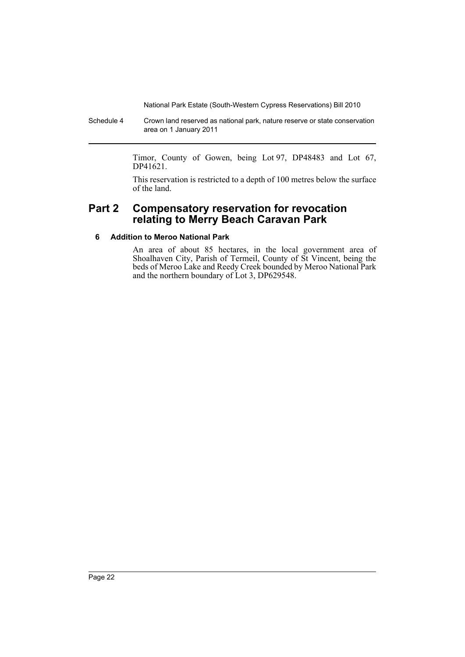Schedule 4 Crown land reserved as national park, nature reserve or state conservation area on 1 January 2011

> Timor, County of Gowen, being Lot 97, DP48483 and Lot 67, DP41621.

> This reservation is restricted to a depth of 100 metres below the surface of the land.

# **Part 2 Compensatory reservation for revocation relating to Merry Beach Caravan Park**

## **6 Addition to Meroo National Park**

An area of about 85 hectares, in the local government area of Shoalhaven City, Parish of Termeil, County of St Vincent, being the beds of Meroo Lake and Reedy Creek bounded by Meroo National Park and the northern boundary of Lot 3, DP629548.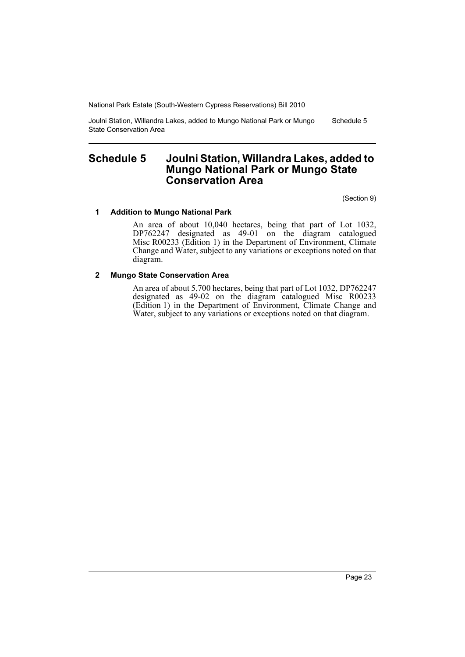Joulni Station, Willandra Lakes, added to Mungo National Park or Mungo State Conservation Area Schedule 5

# <span id="page-24-0"></span>**Schedule 5 Joulni Station, Willandra Lakes, added to Mungo National Park or Mungo State Conservation Area**

(Section 9)

### **1 Addition to Mungo National Park**

An area of about 10,040 hectares, being that part of Lot 1032, DP762247 designated as 49-01 on the diagram catalogued Misc R00233 (Edition 1) in the Department of Environment, Climate Change and Water, subject to any variations or exceptions noted on that diagram.

### **2 Mungo State Conservation Area**

An area of about 5,700 hectares, being that part of Lot 1032, DP762247 designated as 49-02 on the diagram catalogued Misc R00233 (Edition 1) in the Department of Environment, Climate Change and Water, subject to any variations or exceptions noted on that diagram.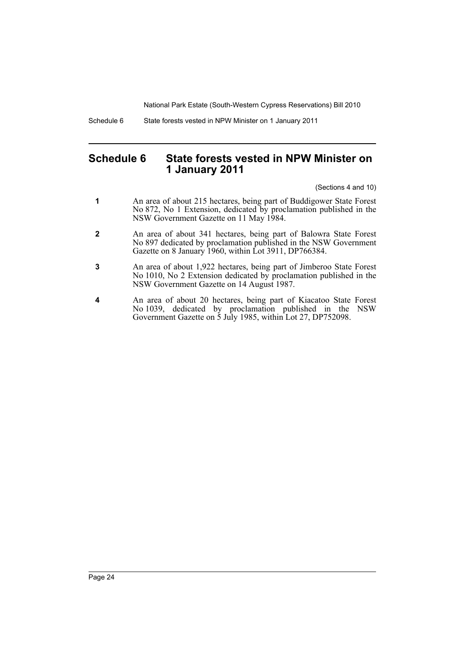Schedule 6 State forests vested in NPW Minister on 1 January 2011

# <span id="page-25-0"></span>**Schedule 6 State forests vested in NPW Minister on 1 January 2011**

(Sections 4 and 10)

- **1** An area of about 215 hectares, being part of Buddigower State Forest No 872, No 1 Extension, dedicated by proclamation published in the NSW Government Gazette on 11 May 1984.
- **2** An area of about 341 hectares, being part of Balowra State Forest No 897 dedicated by proclamation published in the NSW Government Gazette on 8 January 1960, within Lot 3911, DP766384.
- **3** An area of about 1,922 hectares, being part of Jimberoo State Forest No 1010, No 2 Extension dedicated by proclamation published in the NSW Government Gazette on 14 August 1987.
- **4** An area of about 20 hectares, being part of Kiacatoo State Forest No 1039, dedicated by proclamation published in the NSW Government Gazette on 5 July 1985, within Lot 27, DP752098.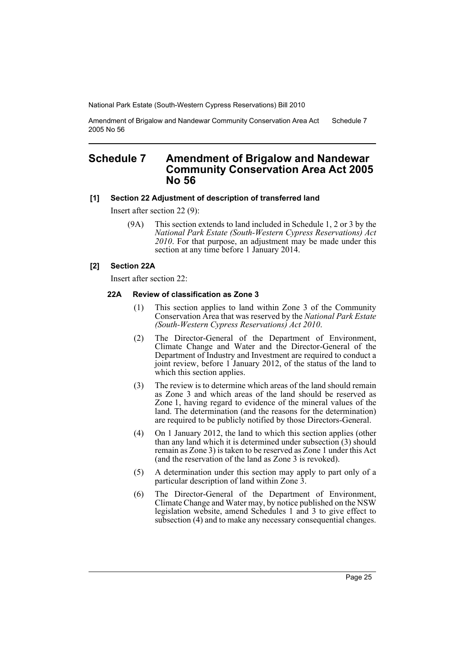Amendment of Brigalow and Nandewar Community Conservation Area Act 2005 No 56 Schedule 7

# <span id="page-26-0"></span>**Schedule 7 Amendment of Brigalow and Nandewar Community Conservation Area Act 2005 No 56**

### **[1] Section 22 Adjustment of description of transferred land**

Insert after section 22 (9):

(9A) This section extends to land included in Schedule 1, 2 or 3 by the *National Park Estate (South-Western Cypress Reservations) Act 2010*. For that purpose, an adjustment may be made under this section at any time before 1 January 2014.

### **[2] Section 22A**

Insert after section 22:

### **22A Review of classification as Zone 3**

- (1) This section applies to land within Zone 3 of the Community Conservation Area that was reserved by the *National Park Estate (South-Western Cypress Reservations) Act 2010*.
- (2) The Director-General of the Department of Environment, Climate Change and Water and the Director-General of the Department of Industry and Investment are required to conduct a joint review, before 1 January 2012, of the status of the land to which this section applies.
- (3) The review is to determine which areas of the land should remain as Zone 3 and which areas of the land should be reserved as Zone 1, having regard to evidence of the mineral values of the land. The determination (and the reasons for the determination) are required to be publicly notified by those Directors-General.
- (4) On 1 January 2012, the land to which this section applies (other than any land which it is determined under subsection (3) should remain as Zone 3) is taken to be reserved as Zone 1 under this Act (and the reservation of the land as Zone 3 is revoked).
- (5) A determination under this section may apply to part only of a particular description of land within Zone 3.
- (6) The Director-General of the Department of Environment, Climate Change and Water may, by notice published on the NSW legislation website, amend Schedules 1 and 3 to give effect to subsection (4) and to make any necessary consequential changes.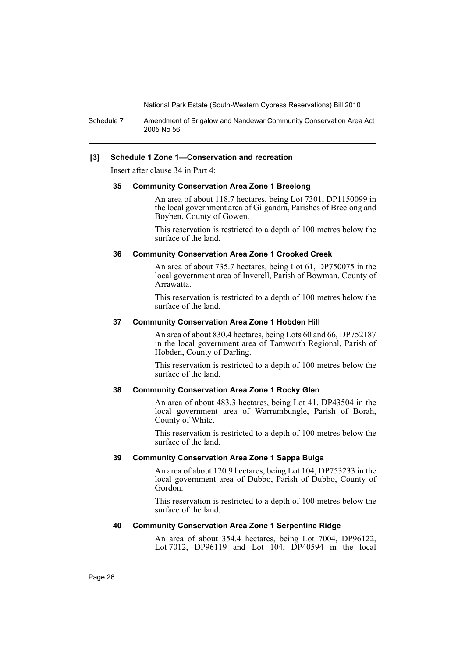Schedule 7 Amendment of Brigalow and Nandewar Community Conservation Area Act 2005 No 56

### **[3] Schedule 1 Zone 1—Conservation and recreation**

Insert after clause 34 in Part 4:

#### **35 Community Conservation Area Zone 1 Breelong**

An area of about 118.7 hectares, being Lot 7301, DP1150099 in the local government area of Gilgandra, Parishes of Breelong and Boyben, County of Gowen.

This reservation is restricted to a depth of 100 metres below the surface of the land.

#### **36 Community Conservation Area Zone 1 Crooked Creek**

An area of about 735.7 hectares, being Lot 61, DP750075 in the local government area of Inverell, Parish of Bowman, County of Arrawatta.

This reservation is restricted to a depth of 100 metres below the surface of the land.

### **37 Community Conservation Area Zone 1 Hobden Hill**

An area of about 830.4 hectares, being Lots 60 and 66, DP752187 in the local government area of Tamworth Regional, Parish of Hobden, County of Darling.

This reservation is restricted to a depth of 100 metres below the surface of the land.

### **38 Community Conservation Area Zone 1 Rocky Glen**

An area of about 483.3 hectares, being Lot 41, DP43504 in the local government area of Warrumbungle, Parish of Borah, County of White.

This reservation is restricted to a depth of 100 metres below the surface of the land.

### **39 Community Conservation Area Zone 1 Sappa Bulga**

An area of about 120.9 hectares, being Lot 104, DP753233 in the local government area of Dubbo, Parish of Dubbo, County of Gordon.

This reservation is restricted to a depth of 100 metres below the surface of the land.

### **40 Community Conservation Area Zone 1 Serpentine Ridge**

An area of about 354.4 hectares, being Lot 7004, DP96122, Lot 7012, DP96119 and Lot 104, DP40594 in the local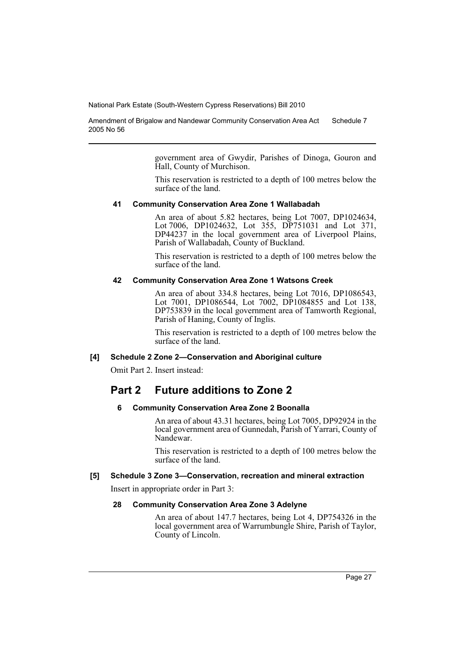Amendment of Brigalow and Nandewar Community Conservation Area Act 2005 No 56 Schedule 7

> government area of Gwydir, Parishes of Dinoga, Gouron and Hall, County of Murchison.

> This reservation is restricted to a depth of 100 metres below the surface of the land.

### **41 Community Conservation Area Zone 1 Wallabadah**

An area of about 5.82 hectares, being Lot 7007, DP1024634, Lot 7006, DP1024632, Lot 355, DP751031 and Lot 371, DP44237 in the local government area of Liverpool Plains, Parish of Wallabadah, County of Buckland.

This reservation is restricted to a depth of 100 metres below the surface of the land.

### **42 Community Conservation Area Zone 1 Watsons Creek**

An area of about 334.8 hectares, being Lot 7016, DP1086543, Lot 7001, DP1086544, Lot 7002, DP1084855 and Lot 138, DP753839 in the local government area of Tamworth Regional, Parish of Haning, County of Inglis.

This reservation is restricted to a depth of 100 metres below the surface of the land.

#### **[4] Schedule 2 Zone 2—Conservation and Aboriginal culture**

Omit Part 2. Insert instead:

# **Part 2 Future additions to Zone 2**

#### **6 Community Conservation Area Zone 2 Boonalla**

An area of about 43.31 hectares, being Lot 7005, DP92924 in the local government area of Gunnedah, Parish of Yarrari, County of Nandewar.

This reservation is restricted to a depth of 100 metres below the surface of the land.

### **[5] Schedule 3 Zone 3—Conservation, recreation and mineral extraction**

Insert in appropriate order in Part 3:

### **28 Community Conservation Area Zone 3 Adelyne**

An area of about 147.7 hectares, being Lot 4, DP754326 in the local government area of Warrumbungle Shire, Parish of Taylor, County of Lincoln.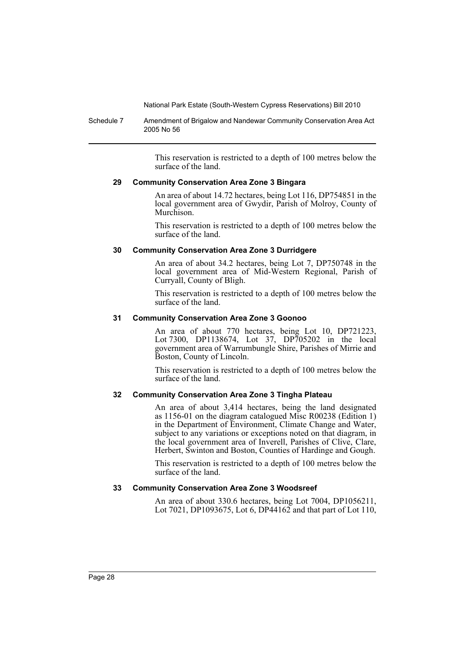Schedule 7 Amendment of Brigalow and Nandewar Community Conservation Area Act 2005 No 56

> This reservation is restricted to a depth of 100 metres below the surface of the land.

### **29 Community Conservation Area Zone 3 Bingara**

An area of about 14.72 hectares, being Lot 116, DP754851 in the local government area of Gwydir, Parish of Molroy, County of Murchison.

This reservation is restricted to a depth of 100 metres below the surface of the land.

### **30 Community Conservation Area Zone 3 Durridgere**

An area of about 34.2 hectares, being Lot 7, DP750748 in the local government area of Mid-Western Regional, Parish of Curryall, County of Bligh.

This reservation is restricted to a depth of 100 metres below the surface of the land.

### **31 Community Conservation Area Zone 3 Goonoo**

An area of about 770 hectares, being Lot 10, DP721223, Lot 7300, DP1138674, Lot 37, DP705202 in the local government area of Warrumbungle Shire, Parishes of Mirrie and Boston, County of Lincoln.

This reservation is restricted to a depth of 100 metres below the surface of the land.

### **32 Community Conservation Area Zone 3 Tingha Plateau**

An area of about 3,414 hectares, being the land designated as 1156-01 on the diagram catalogued Misc R00238 (Edition 1) in the Department of Environment, Climate Change and Water, subject to any variations or exceptions noted on that diagram, in the local government area of Inverell, Parishes of Clive, Clare, Herbert, Swinton and Boston, Counties of Hardinge and Gough.

This reservation is restricted to a depth of 100 metres below the surface of the land.

### **33 Community Conservation Area Zone 3 Woodsreef**

An area of about 330.6 hectares, being Lot 7004, DP1056211, Lot 7021, DP1093675, Lot 6, DP44162 and that part of Lot 110,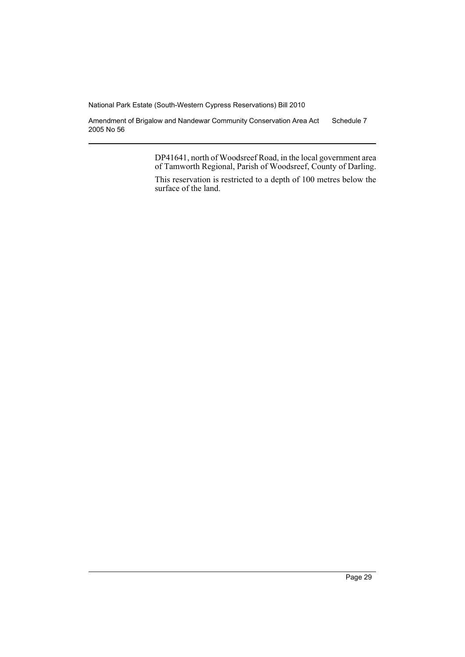Amendment of Brigalow and Nandewar Community Conservation Area Act 2005 No 56 Schedule 7

> DP41641, north of Woodsreef Road, in the local government area of Tamworth Regional, Parish of Woodsreef, County of Darling.

> This reservation is restricted to a depth of 100 metres below the surface of the land.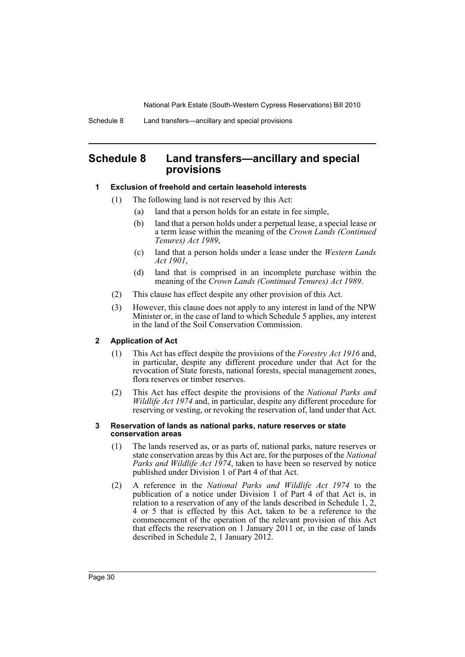# <span id="page-31-0"></span>**Schedule 8 Land transfers—ancillary and special provisions**

### **1 Exclusion of freehold and certain leasehold interests**

- (1) The following land is not reserved by this Act:
	- (a) land that a person holds for an estate in fee simple,
	- (b) land that a person holds under a perpetual lease, a special lease or a term lease within the meaning of the *Crown Lands (Continued Tenures) Act 1989*,
	- (c) land that a person holds under a lease under the *Western Lands Act 1901*,
	- (d) land that is comprised in an incomplete purchase within the meaning of the *Crown Lands (Continued Tenures) Act 1989*.
- (2) This clause has effect despite any other provision of this Act.
- (3) However, this clause does not apply to any interest in land of the NPW Minister or, in the case of land to which Schedule 5 applies, any interest in the land of the Soil Conservation Commission.

### **2 Application of Act**

- (1) This Act has effect despite the provisions of the *Forestry Act 1916* and, in particular, despite any different procedure under that Act for the revocation of State forests, national forests, special management zones, flora reserves or timber reserves.
- (2) This Act has effect despite the provisions of the *National Parks and Wildlife Act 1974* and, in particular, despite any different procedure for reserving or vesting, or revoking the reservation of, land under that Act.

#### **3 Reservation of lands as national parks, nature reserves or state conservation areas**

- (1) The lands reserved as, or as parts of, national parks, nature reserves or state conservation areas by this Act are, for the purposes of the *National Parks and Wildlife Act 1974*, taken to have been so reserved by notice published under Division 1 of Part 4 of that Act.
- (2) A reference in the *National Parks and Wildlife Act 1974* to the publication of a notice under Division 1 of Part 4 of that Act is, in relation to a reservation of any of the lands described in Schedule 1, 2, 4 or 5 that is effected by this Act, taken to be a reference to the commencement of the operation of the relevant provision of this Act that effects the reservation on 1 January 2011 or, in the case of lands described in Schedule 2, 1 January 2012.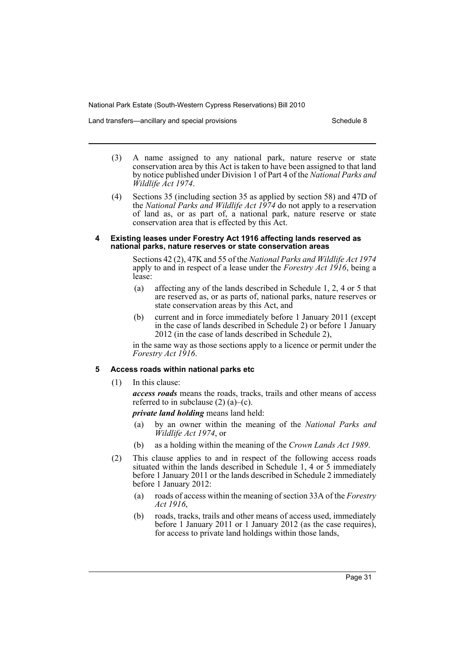Land transfers—ancillary and special provisions New Schedule 8

- (3) A name assigned to any national park, nature reserve or state conservation area by this Act is taken to have been assigned to that land by notice published under Division 1 of Part 4 of the *National Parks and Wildlife Act 1974*.
- (4) Sections 35 (including section 35 as applied by section 58) and 47D of the *National Parks and Wildlife Act 1974* do not apply to a reservation of land as, or as part of, a national park, nature reserve or state conservation area that is effected by this Act.

### **4 Existing leases under Forestry Act 1916 affecting lands reserved as national parks, nature reserves or state conservation areas**

Sections 42 (2), 47K and 55 of the *National Parks and Wildlife Act 1974* apply to and in respect of a lease under the *Forestry Act 1916*, being a lease:

- (a) affecting any of the lands described in Schedule 1, 2, 4 or 5 that are reserved as, or as parts of, national parks, nature reserves or state conservation areas by this Act, and
- (b) current and in force immediately before 1 January 2011 (except in the case of lands described in Schedule 2) or before 1 January 2012 (in the case of lands described in Schedule 2),

in the same way as those sections apply to a licence or permit under the *Forestry Act 1916*.

### **5 Access roads within national parks etc**

(1) In this clause:

*access roads* means the roads, tracks, trails and other means of access referred to in subclause  $(2)$   $(a)$ – $(c)$ .

*private land holding* means land held:

- (a) by an owner within the meaning of the *National Parks and Wildlife Act 1974*, or
- (b) as a holding within the meaning of the *Crown Lands Act 1989*.
- (2) This clause applies to and in respect of the following access roads situated within the lands described in Schedule 1, 4 or 5 immediately before 1 January 2011 or the lands described in Schedule 2 immediately before 1 January 2012:
	- (a) roads of access within the meaning of section 33A of the *Forestry Act 1916*,
	- (b) roads, tracks, trails and other means of access used, immediately before 1 January 2011 or 1 January 2012 (as the case requires), for access to private land holdings within those lands,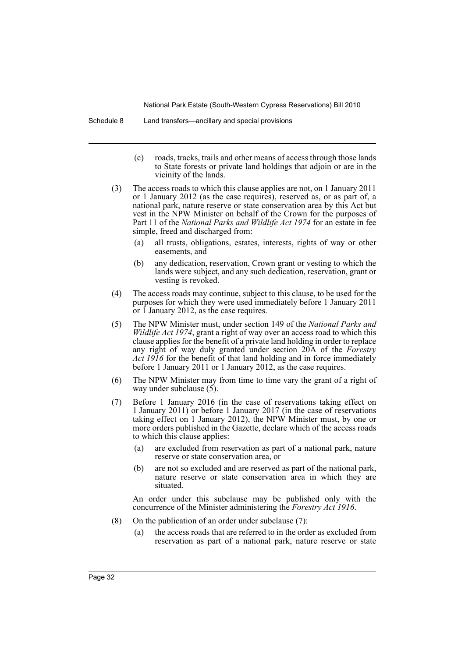Schedule 8 Land transfers—ancillary and special provisions

- (c) roads, tracks, trails and other means of access through those lands to State forests or private land holdings that adjoin or are in the vicinity of the lands.
- (3) The access roads to which this clause applies are not, on 1 January 2011 or 1 January 2012 (as the case requires), reserved as, or as part of, a national park, nature reserve or state conservation area by this Act but vest in the NPW Minister on behalf of the Crown for the purposes of Part 11 of the *National Parks and Wildlife Act 1974* for an estate in fee simple, freed and discharged from:
	- (a) all trusts, obligations, estates, interests, rights of way or other easements, and
	- (b) any dedication, reservation, Crown grant or vesting to which the lands were subject, and any such dedication, reservation, grant or vesting is revoked.
- (4) The access roads may continue, subject to this clause, to be used for the purposes for which they were used immediately before 1 January 2011 or 1 January 2012, as the case requires.
- (5) The NPW Minister must, under section 149 of the *National Parks and Wildlife Act 1974*, grant a right of way over an access road to which this clause applies for the benefit of a private land holding in order to replace any right of way duly granted under section 20A of the *Forestry Act 1916* for the benefit of that land holding and in force immediately before 1 January 2011 or 1 January 2012, as the case requires.
- (6) The NPW Minister may from time to time vary the grant of a right of way under subclause  $(5)$ .
- (7) Before 1 January 2016 (in the case of reservations taking effect on 1 January 2011) or before 1 January 2017 (in the case of reservations taking effect on 1 January 2012), the NPW Minister must, by one or more orders published in the Gazette, declare which of the access roads to which this clause applies:
	- (a) are excluded from reservation as part of a national park, nature reserve or state conservation area, or
	- (b) are not so excluded and are reserved as part of the national park, nature reserve or state conservation area in which they are situated.

An order under this subclause may be published only with the concurrence of the Minister administering the *Forestry Act 1916*.

- (8) On the publication of an order under subclause (7):
	- (a) the access roads that are referred to in the order as excluded from reservation as part of a national park, nature reserve or state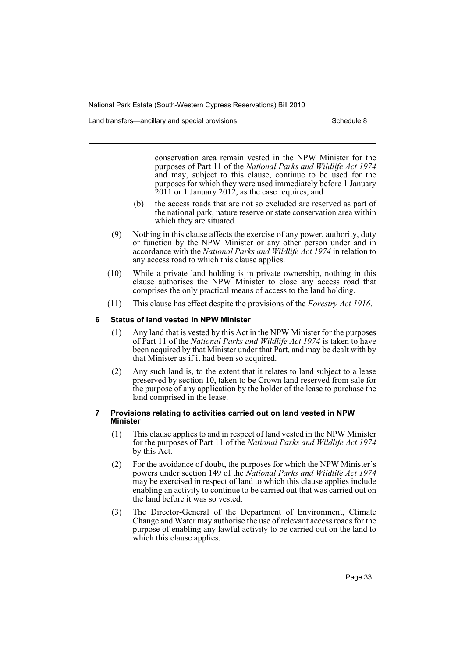Land transfers—ancillary and special provisions New Schedule 8

conservation area remain vested in the NPW Minister for the purposes of Part 11 of the *National Parks and Wildlife Act 1974* and may, subject to this clause, continue to be used for the purposes for which they were used immediately before 1 January 2011 or 1 January 2012, as the case requires, and

- (b) the access roads that are not so excluded are reserved as part of the national park, nature reserve or state conservation area within which they are situated.
- (9) Nothing in this clause affects the exercise of any power, authority, duty or function by the NPW Minister or any other person under and in accordance with the *National Parks and Wildlife Act 1974* in relation to any access road to which this clause applies.
- (10) While a private land holding is in private ownership, nothing in this clause authorises the NPW Minister to close any access road that comprises the only practical means of access to the land holding.
- (11) This clause has effect despite the provisions of the *Forestry Act 1916*.

### **6 Status of land vested in NPW Minister**

- (1) Any land that is vested by this Act in the NPW Minister for the purposes of Part 11 of the *National Parks and Wildlife Act 1974* is taken to have been acquired by that Minister under that Part, and may be dealt with by that Minister as if it had been so acquired.
- (2) Any such land is, to the extent that it relates to land subject to a lease preserved by section 10, taken to be Crown land reserved from sale for the purpose of any application by the holder of the lease to purchase the land comprised in the lease.

### **7 Provisions relating to activities carried out on land vested in NPW Minister**

- (1) This clause applies to and in respect of land vested in the NPW Minister for the purposes of Part 11 of the *National Parks and Wildlife Act 1974* by this Act.
- (2) For the avoidance of doubt, the purposes for which the NPW Minister's powers under section 149 of the *National Parks and Wildlife Act 1974* may be exercised in respect of land to which this clause applies include enabling an activity to continue to be carried out that was carried out on the land before it was so vested.
- (3) The Director-General of the Department of Environment, Climate Change and Water may authorise the use of relevant access roads for the purpose of enabling any lawful activity to be carried out on the land to which this clause applies.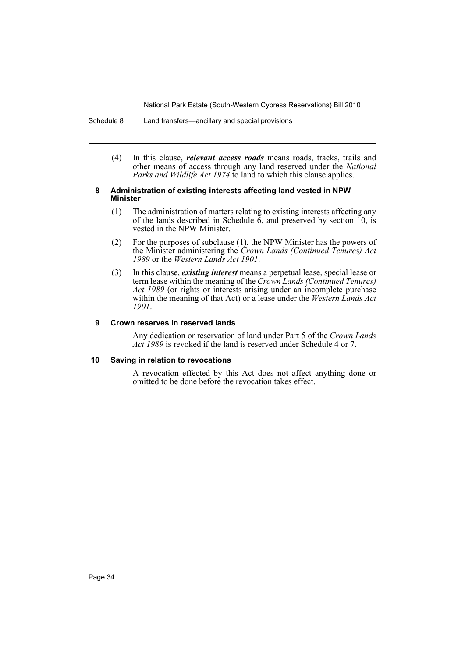Schedule 8 Land transfers—ancillary and special provisions

(4) In this clause, *relevant access roads* means roads, tracks, trails and other means of access through any land reserved under the *National Parks and Wildlife Act 1974* to land to which this clause applies.

### **8 Administration of existing interests affecting land vested in NPW Minister**

- (1) The administration of matters relating to existing interests affecting any of the lands described in Schedule  $\vec{6}$ , and preserved by section 10, is vested in the NPW Minister.
- (2) For the purposes of subclause (1), the NPW Minister has the powers of the Minister administering the *Crown Lands (Continued Tenures) Act 1989* or the *Western Lands Act 1901*.
- (3) In this clause, *existing interest* means a perpetual lease, special lease or term lease within the meaning of the *Crown Lands (Continued Tenures) Act 1989* (or rights or interests arising under an incomplete purchase within the meaning of that Act) or a lease under the *Western Lands Act 1901*.

### **9 Crown reserves in reserved lands**

Any dedication or reservation of land under Part 5 of the *Crown Lands Act 1989* is revoked if the land is reserved under Schedule 4 or 7.

### **10 Saving in relation to revocations**

A revocation effected by this Act does not affect anything done or omitted to be done before the revocation takes effect.